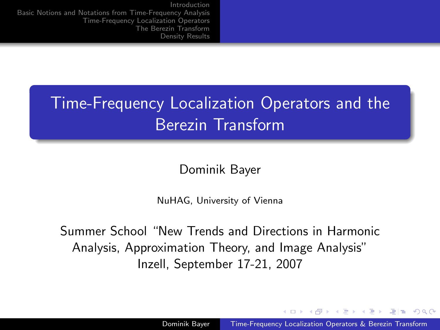# Time-Frequency Localization Operators and the Berezin Transform

Dominik Bayer

NuHAG, University of Vienna

Summer School "New Trends and Directions in Harmonic Analysis, Approximation Theory, and Image Analysis" Inzell, September 17-21, 2007

<span id="page-0-0"></span>- ← 伊 ▶ - ← 王 ▶ + 王 ▶ - 王 出 エーのAA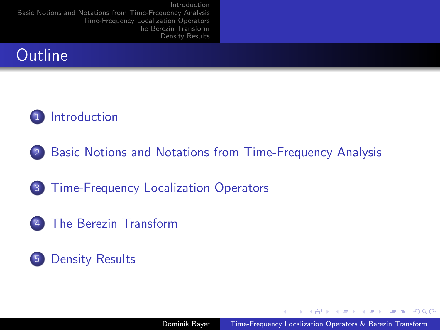



- 2 [Basic Notions and Notations from Time-Frequency Analysis](#page-3-0)
- 3 [Time-Frequency Localization Operators](#page-6-0)
- 4 [The Berezin Transform](#page-10-0)

### 5 [Density Results](#page-13-0)

кНД ▶ к ∃ ▶ к ∃ ▶ . 글|님 . Ю Q (^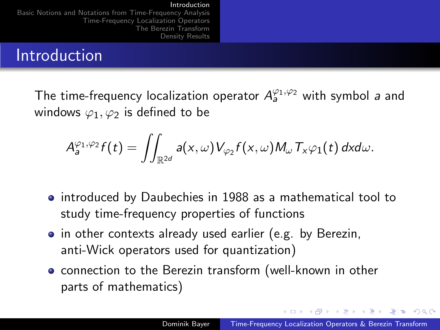#### Introduction

[Basic Notions and Notations from Time-Frequency Analysis](#page-3-0) [Time-Frequency Localization Operators](#page-6-0) [The Berezin Transform](#page-10-0) [Density Results](#page-13-0)

### Introduction

The time-frequency localization operator  $A_a^{\varphi_1,\varphi_2}$  with symbol a and windows  $\varphi_1, \varphi_2$  is defined to be

$$
A_{a}^{\varphi_1,\varphi_2}f(t)=\iint_{\mathbb{R}^{2d}}a(x,\omega)V_{\varphi_2}f(x,\omega)M_{\omega}T_x\varphi_1(t)\,dxd\omega.
$$

- introduced by Daubechies in 1988 as a mathematical tool to study time-frequency properties of functions
- in other contexts already used earlier (e.g. by Berezin, anti-Wick operators used for quantization)
- **•** connection to the Berezin transform (well-known in other parts of mathematics)

<span id="page-2-0"></span>K ロ ▶ K 何 ▶ K ヨ ▶ K ヨ ▶ - ヨ 出 | A Q (^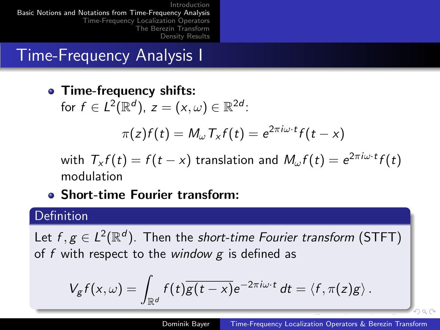## Time-Frequency Analysis I

• Time-frequency shifts:

for  $f \in L^2(\mathbb{R}^d)$ ,  $z = (x, \omega) \in \mathbb{R}^{2d}$ :

$$
\pi(z)f(t) = M_{\omega} T_x f(t) = e^{2\pi i \omega \cdot t} f(t - x)
$$

with  $\mathcal{T}_{\mathsf{x}} f(t) = f(t - x)$  translation and  $\mathcal{M}_{\omega} f(t) = e^{2\pi i \omega \cdot t} f(t)$ modulation

Short-time Fourier transform:

### Definition

Let  $f, g \in L^2(\mathbb{R}^d)$ . Then the short-time Fourier transform (STFT) of f with respect to the window  $g$  is defined as

$$
V_g f(x,\omega) = \int_{\mathbb{R}^d} f(t) \overline{g(t-x)} e^{-2\pi i \omega \cdot t} dt = \langle f, \pi(z)g \rangle.
$$

<span id="page-3-0"></span>റെ ര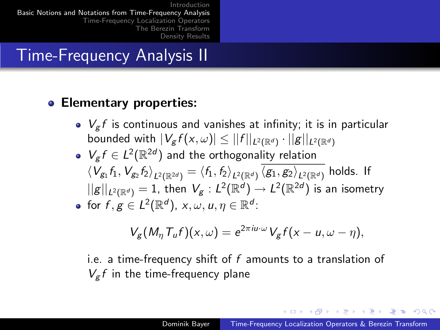## Time-Frequency Analysis II

### **• Elementary properties:**

- $\bullet$   $V_{\sigma}f$  is continuous and vanishes at infinity; it is in particular bounded with  $|V_{\mathcal{g}}f(x,\omega)| \leq ||f||_{L^2(\mathbb{R}^d)}\cdot ||\mathcal{g}||_{L^2(\mathbb{R}^d)}$
- $V_g f \in L^2(\mathbb{R}^{2d})$  and the orthogonality relation  $\braket{\mathcal{V}_{g_1} f_1, \mathcal{V}_{g_2} f_2}_{L^2(\mathbb{R}^{2d})} = \braket{f_1, f_2}_{L^2(\mathbb{R}^d)} \braket{g_1, g_2}_{L^2(\mathbb{R}^d)}$  holds. If  $||g||_{L^2(\mathbb{R}^d)}=1$ , then  $V_g:L^2(\mathbb{R}^d )\to L^2(\mathbb{R}^{2d})$  is an isometry for  $f,g\in L^2(\mathbb{R}^d)$ ,  $x,\omega,u,\eta\in\mathbb{R}^d$ :

$$
V_g(M_\eta T_u f)(x,\omega) = e^{2\pi i u \cdot \omega} V_g f(x-u,\omega-\eta),
$$

i.e. a time-frequency shift of  $f$  amounts to a translation of  $V_g f$  in the time-frequency plane

K ロ ▶ K 何 ▶ K ヨ ▶ K ヨ ▶ - ヨ 出 | A Q (^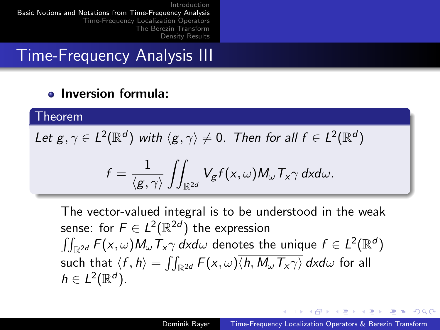Time-Frequency Analysis III

#### Inversion formula:  $\bullet$

#### Theorem

Let  $g, \gamma \in L^2(\mathbb{R}^d)$  with  $\langle g, \gamma \rangle \neq 0$ . Then for all  $f \in L^2(\mathbb{R}^d)$ 

$$
f = \frac{1}{\langle g, \gamma \rangle} \iint_{\mathbb{R}^{2d}} V_g f(x, \omega) M_\omega T_x \gamma dx d\omega.
$$

The vector-valued integral is to be understood in the weak sense: for  $F \in L^2(\mathbb{R}^{2d})$  the expression  $\iint_{\mathbb{R}^{2d}} F(x,\omega) M_\omega \, \overline{I}_x \gamma \, d\mathsf{x} d\omega$  denotes the unique  $f \in L^2(\mathbb{R}^d)$ such that  $\langle f , h \rangle = \iint_{\mathbb{R}^{2d}} F(x,\omega) \langle h , M_\omega \, T_x \gamma \rangle \, dxd\omega$  for all  $h \in L^2(\mathbb{R}^d)$ .

кох ∈l≣ к∉≯ кэтий томо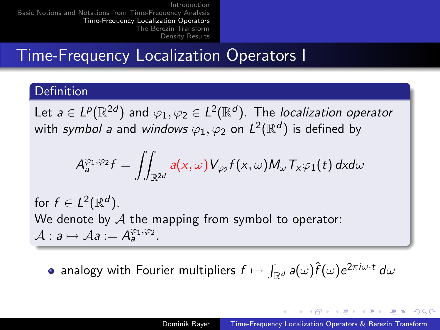## Time-Frequency Localization Operators I

### Definition

Let  $a\in L^p(\mathbb{R}^{2d})$  and  $\varphi_1,\varphi_2\in L^2(\mathbb{R}^d).$  The *localization operator* with *symbol a* and *windows*  $\varphi_1,\varphi_2$  *on*  $\mathsf{L}^2(\mathbb{R}^d)$  *is defined by* 

$$
A_{a}^{\varphi_{1},\varphi_{2}}f=\iint_{\mathbb{R}^{2d}}a(x,\omega)V_{\varphi_{2}}f(x,\omega)M_{\omega}T_{x}\varphi_{1}(t) dx d\omega
$$

for  $f \in L^2(\mathbb{R}^d)$ . We denote by  $\mathcal A$  the mapping from symbol to operator:  $\mathcal{A}: a \mapsto \mathcal{A}a := A_a^{\varphi_1, \varphi_2}.$ 

analogy with Fourier multipliers  $f\mapsto \int_{\mathbb{R}^d} a(\omega)\hat{f}(\omega)e^{2\pi i \omega \cdot t}\,d\omega$ 

<span id="page-6-0"></span>кох ∈l≣ к∉≯ кэтий томо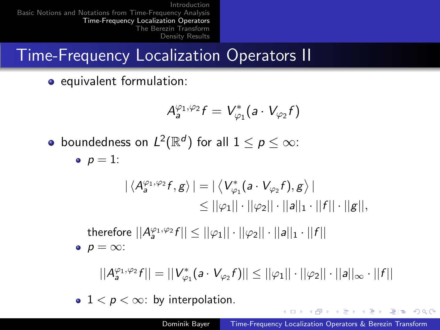# Time-Frequency Localization Operators II

**•** equivalent formulation:

$$
\mathcal{A}_a^{\varphi_1,\varphi_2}f=V_{\varphi_1}^*(a\cdot V_{\varphi_2}f)
$$

boundedness on  $L^2(\mathbb{R}^d)$  for all  $1\leq p\leq \infty$ :

•  $p = 1$ :

$$
\begin{aligned} |\langle A^{\varphi_1,\varphi_2}_{\mathfrak{g}} f, g \rangle| &= |\langle V^*_{\varphi_1}(a \cdot V_{\varphi_2} f), g \rangle| \\ &\leq ||\varphi_1|| \cdot ||\varphi_2|| \cdot ||a||_1 \cdot ||f|| \cdot ||g||, \end{aligned}
$$

therefore  $||A^{\varphi_1,\varphi_2}_af|| \le ||\varphi_1|| \cdot ||\varphi_2|| \cdot ||a||_1 \cdot ||f||$  $p = \infty$ :

$$
||A_a^{\varphi_1,\varphi_2}f||=||V_{\varphi_1}^*(a\cdot V_{\varphi_2}f)||\leq ||\varphi_1||\cdot||\varphi_2||\cdot||a||_\infty\cdot||f||
$$

•  $1 < p < \infty$ : by interpolation.

K ロ ▶ K 何 ▶ K ヨ ▶ K ヨ ▶ 『ヨ!ヨ Y 9 Q (^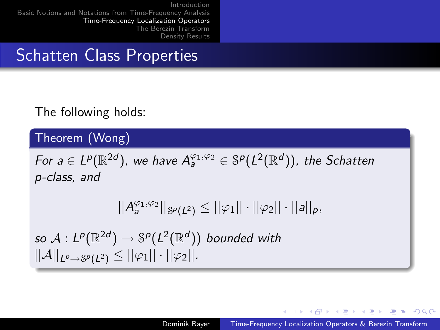### Schatten Class Properties

### The following holds:

### Theorem (Wong)

For  $a\in L^p(\mathbb{R}^{2d})$ , we have  $A_a^{\varphi_1,\varphi_2}\in \mathcal{S}^p(L^2(\mathbb{R}^d))$ , the Schatten p-class, and

$$
||A_{a}^{\varphi_1,\varphi_2}||_{\mathcal{S}^p(L^2)} \leq ||\varphi_1|| \cdot ||\varphi_2|| \cdot ||a||_p,
$$

so  $\mathcal{A}: L^p(\mathbb{R}^{2d}) \rightarrow \mathbb{S}^p(L^2(\mathbb{R}^d))$  bounded with  $||\mathcal{A}||_{L^p\to \mathcal{S}^p(L^2)} \leq ||\varphi_1|| \cdot ||\varphi_2||.$ 

- ←何 ▶ ← ヨ ▶ ← ヨ ▶ - ヨ ヨ - つんぺ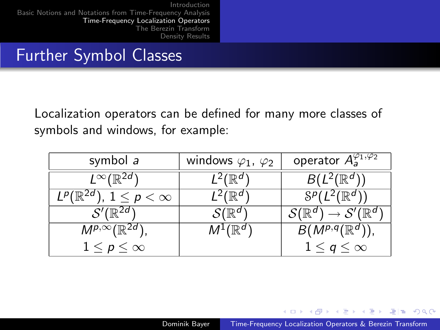### Further Symbol Classes

Localization operators can be defined for many more classes of symbols and windows, for example:

| symbol a                                                        | windows $\varphi_1$ , $\varphi_2$ | operator $A^{\varphi_1,\varphi_2}_{a}$                                                                            |
|-----------------------------------------------------------------|-----------------------------------|-------------------------------------------------------------------------------------------------------------------|
| $L^{\infty}(\mathbb{R}^{2d})$                                   | . <sup>∠</sup> (ℝ"                | $B(L^2(\mathbb{R}^d))$                                                                                            |
| $1\leq p<\infty$<br>L <sup>p</sup> ( $\mathbb{R}^{\mathsf{2u}}$ | (ℝ"                               | $S^p(L^2(\mathbb{R}^d))$                                                                                          |
| $\mathcal{S}'(\overline{\mathbb{R}^{2d}})$                      | $\mathcal{S}(\mathbb{R}^d$        | $\rightarrow \mathcal{S}^{\prime }(\mathbb{R}^{d}% )\otimes (\mathbb{R}^{d}\mathbb{R}^{d}\otimes \mathbb{R}^{d})$ |
| $M^{p,\infty}(\mathbb{R}^{2d})$                                 | $M^1(\mathbb{R}^d)$               | $B(M^{p,q}(\mathbb{R}^d))$                                                                                        |
| $1 \leq p \leq \infty$                                          |                                   | $1\leq q\leq\infty$                                                                                               |

K 주 ▶ K 크 ▶ K 크 ▶ 그 크 ▶ 9909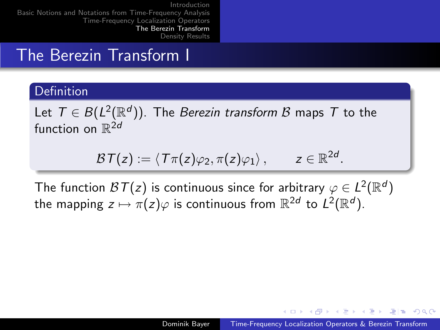### The Berezin Transform I

### **Definition**

Let  $\mathcal{T} \in B(L^2(\mathbb{R}^d)).$  The *Berezin transform*  $\mathcal B$  *m*aps  $\mathcal T$  to the function on  $\mathbb{R}^{2d}$ 

$$
\mathcal{B}\mathcal{T}(z):=\langle \mathcal{T}\pi(z)\varphi_2,\pi(z)\varphi_1\rangle\,,\qquad z\in\mathbb{R}^{2d}.
$$

The function  $\mathcal{B}\mathcal{T}(z)$  is continuous since for arbitrary  $\varphi \in L^2(\mathbb{R}^d)$ the mapping  $z \mapsto \pi(z) \varphi$  is continuous from  $\mathbb{R}^{2d}$  to  $L^2(\mathbb{R}^d).$ 

<span id="page-10-0"></span>→ 何 ▶ → ヨ ▶ → ヨ ▶ - ヨ ヨ - つんぺ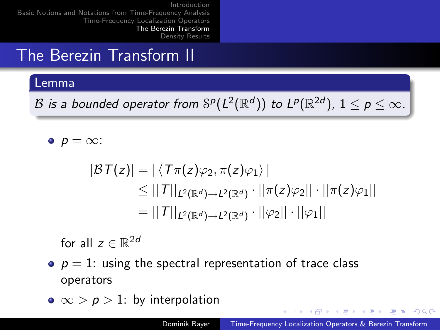## The Berezin Transform II

#### Lemma

 ${\mathcal B}$  is a bounded operator from  ${\mathbb S}^p(L^2({\mathbb R}^d))$  to  $L^p({\mathbb R}^{2d}),\, 1\leq p\leq \infty.$ 

 $p = \infty$ :

$$
|\mathcal{BT}(z)| = |\langle T\pi(z)\varphi_2, \pi(z)\varphi_1 \rangle|
$$
  
\n
$$
\leq ||T||_{L^2(\mathbb{R}^d) \to L^2(\mathbb{R}^d)} \cdot ||\pi(z)\varphi_2|| \cdot ||\pi(z)\varphi_1||
$$
  
\n
$$
= ||T||_{L^2(\mathbb{R}^d) \to L^2(\mathbb{R}^d)} \cdot ||\varphi_2|| \cdot ||\varphi_1||
$$

for all  $z \in \mathbb{R}^{2d}$ 

- $p = 1$ : using the spectral representation of trace class operators
- $\bullet \infty$  > p > 1: by interpolation

K ロ ▶ K 何 ▶ K ヨ ▶ K ヨ ▶ 『ヨ!ヨ Y 9 Q (^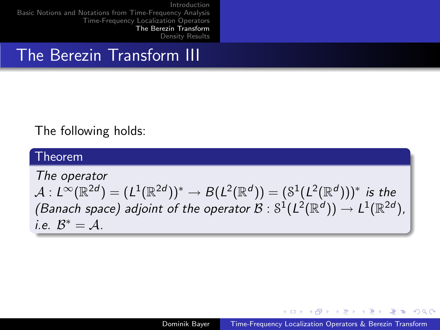### The Berezin Transform III

### The following holds:

#### Theorem

The operator  $\mathcal{A}: L^\infty(\mathbb{R}^{2d})=(L^1(\mathbb{R}^{2d}))^*\rightarrow B(L^2(\mathbb{R}^d))=(\mathbb{S}^1(L^2(\mathbb{R}^d)))^*$  is the (Banach space) adjoint of the operator  $\mathcal{B}:S^1(L^2(\mathbb{R}^d))\to L^1(\mathbb{R}^{2d}),$ i.e.  $\mathcal{B}^* = \mathcal{A}$ .

<span id="page-12-0"></span>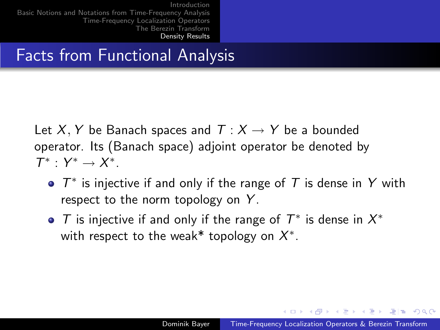## Facts from Functional Analysis

Let X, Y be Banach spaces and  $T: X \rightarrow Y$  be a bounded operator. Its (Banach space) adjoint operator be denoted by  $\mathcal{T}^*$  :  $Y^* \rightarrow X^*$ .

- $T^*$  is injective if and only if the range of  $T$  is dense in Y with respect to the norm topology on  $Y$ .
- T is injective if and only if the range of  $T^*$  is dense in  $X^*$ with respect to the weak\* topology on  $X^*$ .

<span id="page-13-0"></span>кох ∈|≝ к∉х к≇х кору кох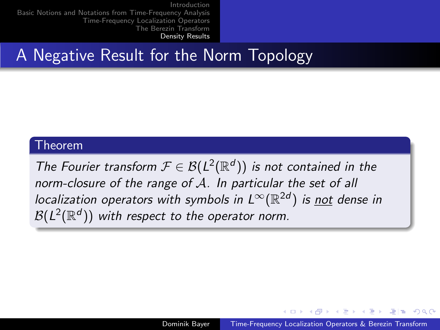## A Negative Result for the Norm Topology

#### Theorem

The Fourier transform  $\mathcal{F} \in \mathcal{B}(L^2(\mathbb{R}^d))$  is not contained in the norm-closure of the range of A. In particular the set of all localization operators with symbols in  $L^\infty(\mathbb{R}^{2d})$  is <u>not</u> dense in  $\mathcal{B}(L^2(\mathbb{R}^d))$  with respect to the operator norm.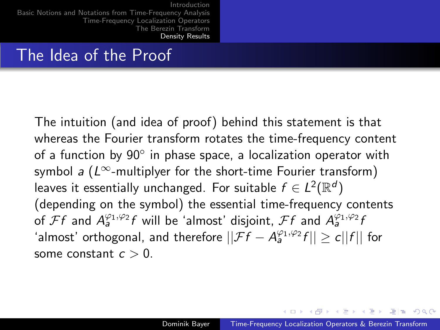## The Idea of the Proof

The intuition (and idea of proof) behind this statement is that whereas the Fourier transform rotates the time-frequency content of a function by  $90^{\circ}$  in phase space, a localization operator with symbol a ( $L^{\infty}$ -multiplyer for the short-time Fourier transform) leaves it essentially unchanged. For suitable  $f \in L^2(\mathbb{R}^d)$ (depending on the symbol) the essential time-frequency contents of  $\mathcal{F}f$  and  $A_{a}^{\varphi_{1},\varphi_{2}}f$  will be 'almost' disjoint,  $\mathcal{F}f$  and  $A_{a}^{\varphi_{1},\varphi_{2}}f$ 'almost' orthogonal, and therefore  $||\mathcal{F}f - A_a^{\varphi_1,\varphi_2}f|| \ge c||f||$  for some constant  $c > 0$ .

кох ∈l≣ к∉≯ кэтий томо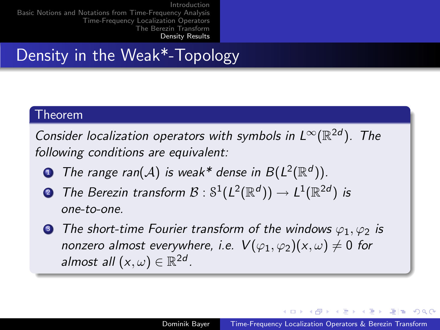# Density in the Weak\*-Topology

#### Theorem

Consider localization operators with symbols in  $L^{\infty}(\mathbb{R}^{2d})$ . The following conditions are equivalent:

- **D** The range ran(A) is weak\* dense in  $B(L^2(\mathbb{R}^d))$ .
- ${\mathcal B}$  The Berezin transform  ${\mathcal B} : \mathbb{S}^1(L^2(\mathbb{R}^d)) \to L^1(\mathbb{R}^{2d})$  is one-to-one.
- **3** The short-time Fourier transform of the windows  $\varphi_1, \varphi_2$  is nonzero almost everywhere, i.e.  $V(\varphi_1, \varphi_2)(x, \omega) \neq 0$  for almost all  $(x, \omega) \in \mathbb{R}^{2d}$ .

<span id="page-16-0"></span>кох ∈l≣ к∉≯ кэтий томо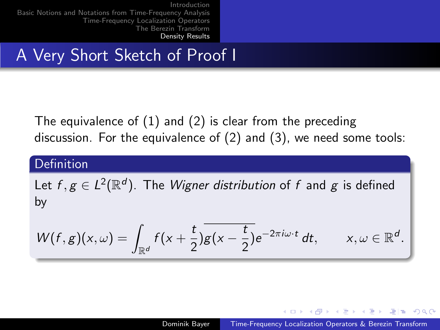## A Very Short Sketch of Proof I

The equivalence of (1) and (2) is clear from the preceding discussion. For the equivalence of (2) and (3), we need some tools:

### **Definition**

Let  $f,g\in L^2(\mathbb{R}^d)$ . The *Wigner distribution* of  $f$  and  $g$  is defined by

$$
W(f,g)(x,\omega)=\int_{\mathbb{R}^d}f(x+\frac{t}{2})\overline{g(x-\frac{t}{2})}e^{-2\pi i\omega\cdot t} dt, \qquad x,\omega\in\mathbb{R}^d.
$$

<span id="page-17-0"></span>→ 何 ▶ → ヨ ▶ → ヨ ▶ - ヨ ヨ - つんぺ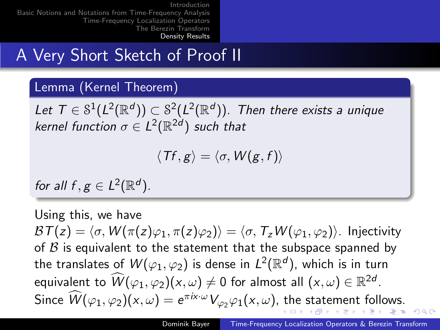## A Very Short Sketch of Proof II

### Lemma (Kernel Theorem)

Let  $\mathcal{T} \in \mathbb{S}^1(L^2(\mathbb{R}^d)) \subset \mathbb{S}^2(L^2(\mathbb{R}^d))$ . Then there exists a unique kernel function  $\sigma \in L^2(\mathbb{R}^{2d})$  such that

<span id="page-18-0"></span>
$$
\langle Tf, g \rangle = \langle \sigma, W(g, f) \rangle
$$

for all  $f, g \in L^2(\mathbb{R}^d)$ .

Using this, we have  $BT(z) = \langle \sigma, W (\pi(z)\varphi_1, \pi(z)\varphi_2) \rangle = \langle \sigma, T_zW (\varphi_1, \varphi_2) \rangle$ . Injectivity of  $\beta$  is equivalent to the statement that the subspace spanned by the translates of  $W(\varphi_1,\varphi_2)$  is dense in  $L^2(\mathbb{R}^d)$ , which is in turn equivalent to  $\widehat{W}(\varphi_1,\varphi_2)(x,\omega) \neq 0$  for almost all  $(x,\omega) \in \mathbb{R}^{2d}$ . Sinc[e](#page-19-0)  $\widehat{W}(\varphi_1,\varphi_2)(x,\omega)=e^{\pi i x\cdot \omega}V_{\varphi_2}\varphi_1(x,\omega),$  $\widehat{W}(\varphi_1,\varphi_2)(x,\omega)=e^{\pi i x\cdot \omega}V_{\varphi_2}\varphi_1(x,\omega),$  $\widehat{W}(\varphi_1,\varphi_2)(x,\omega)=e^{\pi i x\cdot \omega}V_{\varphi_2}\varphi_1(x,\omega),$  $\widehat{W}(\varphi_1,\varphi_2)(x,\omega)=e^{\pi i x\cdot \omega}V_{\varphi_2}\varphi_1(x,\omega),$  $\widehat{W}(\varphi_1,\varphi_2)(x,\omega)=e^{\pi i x\cdot \omega}V_{\varphi_2}\varphi_1(x,\omega),$  $\widehat{W}(\varphi_1,\varphi_2)(x,\omega)=e^{\pi i x\cdot \omega}V_{\varphi_2}\varphi_1(x,\omega),$  $\widehat{W}(\varphi_1,\varphi_2)(x,\omega)=e^{\pi i x\cdot \omega}V_{\varphi_2}\varphi_1(x,\omega),$  $\widehat{W}(\varphi_1,\varphi_2)(x,\omega)=e^{\pi i x\cdot \omega}V_{\varphi_2}\varphi_1(x,\omega),$  [th](#page-17-0)e [st](#page-16-0)ateme[nt](#page-21-0)[fo](#page-13-0)[l](#page-20-0)[lo](#page-21-0)[w](#page-20-0)[s.](#page-21-0)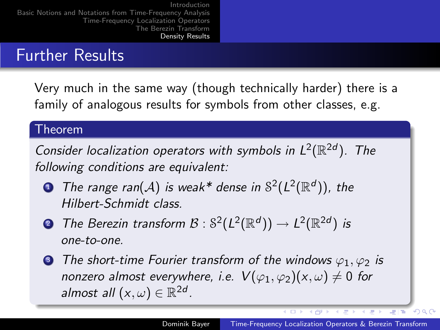### Further Results

Very much in the same way (though technically harder) there is a family of analogous results for symbols from other classes, e.g.

### Theorem

Consider localization operators with symbols in  $L^2(\mathbb{R}^{2d})$ . The following conditions are equivalent:

- $\bullet$  The range ran $(\mathcal{A})$  is weak\* dense in  $\mathbb{S}^2(L^2(\mathbb{R}^d))$ , the Hilbert-Schmidt class.
- ${\mathcal B}$  The Berezin transform  ${\mathcal B} : \mathbb S^2(L^2(\mathbb R^d)) \to L^2(\mathbb R^{2d})$  is one-to-one.
- **3** The short-time Fourier transform of the windows  $\varphi_1, \varphi_2$  is nonzero almost everywhere, i.e.  $V(\varphi_1, \varphi_2)(x, \omega) \neq 0$  for almost all  $(x, \omega) \in \mathbb{R}^{2d}$ .

(作) (ま) (ま)

写真

<span id="page-19-0"></span> $\Omega$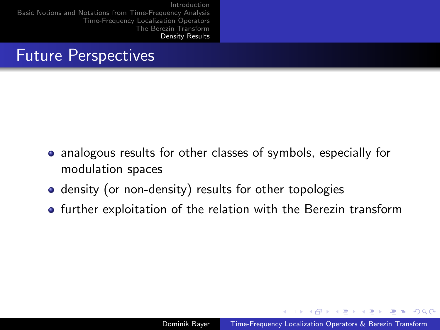## Future Perspectives

- analogous results for other classes of symbols, especially for modulation spaces
- density (or non-density) results for other topologies
- **•** further exploitation of the relation with the Berezin transform

<span id="page-20-0"></span>A E NA E NA E E A O O